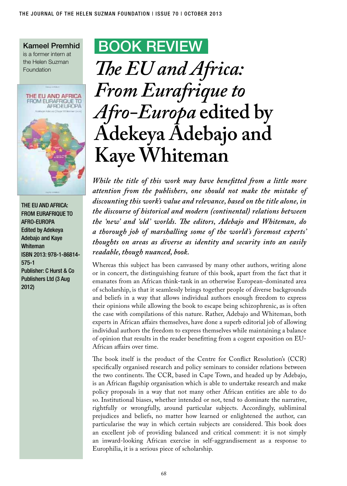Kameel Premhid is a former intern at the Helen Suzman Foundation



The EU and Africa: FROM EURAFRIQUE TO Afro-Europa Edited by Adekeya Adebajo and Kaye Whiteman ISBN 2013: 978-1-86814- 575-1 Publisher: C Hurst & Co Publishers Ltd (3 Aug 2012)

## BOOK Review

## *The EU and Africa: From Eurafrique to Afro-Europa* **edited by Adekeya Adebajo and Kaye Whiteman**

*While the title of this work may have benefitted from a little more attention from the publishers, one should not make the mistake of discounting this work's value and relevance, based on the title alone, in the discourse of historical and modern (continental) relations between the 'new' and 'old' worlds. The editors, Adebajo and Whiteman, do a thorough job of marshalling some of the world's foremost experts' thoughts on areas as diverse as identity and security into an easily readable, though nuanced, book.* 

Whereas this subject has been canvassed by many other authors, writing alone or in concert, the distinguishing feature of this book, apart from the fact that it emanates from an African think-tank in an otherwise European-dominated area of scholarship, is that it seamlessly brings together people of diverse backgrounds and beliefs in a way that allows individual authors enough freedom to express their opinions while allowing the book to escape being schizophrenic, as is often the case with compilations of this nature. Rather, Adebajo and Whiteman, both experts in African affairs themselves, have done a superb editorial job of allowing individual authors the freedom to express themselves while maintaining a balance of opinion that results in the reader benefitting from a cogent exposition on EU-African affairs over time.

The book itself is the product of the Centre for Conflict Resolution's (CCR) specifically organised research and policy seminars to consider relations between the two continents. The CCR, based in Cape Town, and headed up by Adebajo, is an African flagship organisation which is able to undertake research and make policy proposals in a way that not many other African entities are able to do so. Institutional biases, whether intended or not, tend to dominate the narrative, rightfully or wrongfully, around particular subjects. Accordingly, subliminal prejudices and beliefs, no matter how learned or enlightened the author, can particularise the way in which certain subjects are considered. This book does an excellent job of providing balanced and critical comment: it is not simply an inward-looking African exercise in self-aggrandisement as a response to Europhilia, it is a serious piece of scholarship.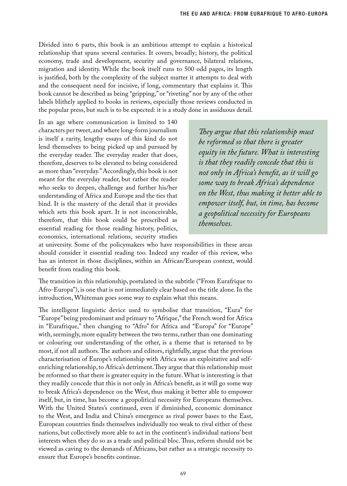Divided into 6 parts, this book is an ambitious attempt to explain a historical relationship that spans several centuries. It covers, broadly; history, the political economy, trade and development, security and governance, bilateral relations, migration and identity. While the book itself runs to 500 odd pages, its length is justified, both by the complexity of the subject matter it attempts to deal with and the consequent need for incisive, if long, commentary that explains it. This book cannot be described as being "gripping," or "riveting" nor by any of the other labels blithely applied to books in reviews, especially those reviews conducted in the popular press, but such is to be expected: it is a study done in assiduous detail.

In an age where communication is limited to 140 characters per tweet, and where long-form journalism is itself a rarity, lengthy essays of this kind do not lend themselves to being picked up and pursued by the everyday reader. The everyday reader that does, therefore, deserves to be elevated to being considered as more than "everyday." Accordingly, this book is not meant for the everyday reader, but rather the reader who seeks to deepen, challenge and further his/her understanding of Africa and Europe and the ties that bind. It is the mastery of the detail that it provides which sets this book apart. It is not inconceivable, therefore, that this book could be prescribed as essential reading for those reading history, politics, economics, international relations, security studies

*They argue that this relationship must be reformed so that there is greater equity in the future. What is interesting is that they readily concede that this is not only in Africa's benefit, as it will go some way to break Africa's dependence on the West, thus making it better able to empower itself, but, in time, has become a geopolitical necessity for Europeans themselves.* 

at university. Some of the policymakers who have responsibilities in these areas should consider it essential reading too. Indeed any reader of this review, who has an interest in those disciplines, within an African/European context, would benefit from reading this book.

The transition in this relationship, postulated in the subtitle ("From Eurafrique to Afro-Europa"), is one that is not immediately clear based on the title alone. In the introduction, Whiteman goes some way to explain what this means.

The intelligent linguistic device used to symbolise that transition, "Eura" for "Europe" being predominant and primary to "Afrique," the French word for Africa in "Eurafrique," then changing to "Afro" for Africa and "Europa" for "Europe" with, seemingly, more equality between the two terms, rather than one dominating or colouring our understanding of the other, is a theme that is returned to by most, if not all authors. The authors and editors, rightfully, argue that the previous characterisation of Europe's relationship with Africa was an exploitative and selfenriching relationship, to Africa's detriment. They argue that this relationship must be reformed so that there is greater equity in the future. What is interesting is that they readily concede that this is not only in Africa's benefit, as it will go some way to break Africa's dependence on the West, thus making it better able to empower itself, but, in time, has become a geopolitical necessity for Europeans themselves. With the United States's continued, even if diminished, economic dominance to the West, and India and China's emergence as rival power bases to the East, European countries finds themselves individually too weak to rival either of these nations, but collectively more able to act in the continent's individual nations' best interests when they do so as a trade and political bloc. Thus, reform should not be viewed as caving to the demands of Africans, but rather as a strategic necessity to ensure that Europe's benefits continue.